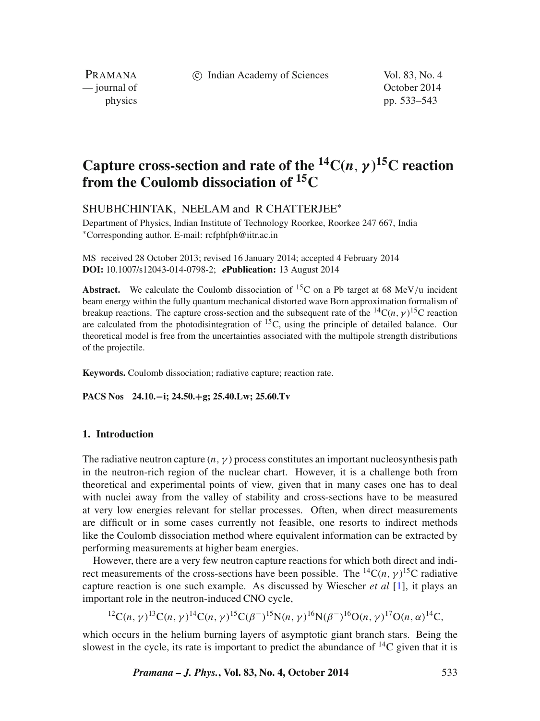c Indian Academy of Sciences Vol. 83, No. 4

PRAMANA<br>
— journal of

October 2014 physics pp. 533–543

# **Capture cross-section and rate of the**  ${}^{14}C(n, \gamma) {}^{15}C$  **reaction from the Coulomb dissociation of 15C**

SHUBHCHINTAK, NEELAM and R CHATTERJEE∗

Department of Physics, Indian Institute of Technology Roorkee, Roorkee 247 667, India ∗Corresponding author. E-mail: rcfphfph@iitr.ac.in

MS received 28 October 2013; revised 16 January 2014; accepted 4 February 2014 **DOI:** 10.1007/s12043-014-0798-2; *e***Publication:** 13 August 2014

**Abstract.** We calculate the Coulomb dissociation of <sup>15</sup>C on a Pb target at 68 MeV/u incident beam energy within the fully quantum mechanical distorted wave Born approximation formalism of breakup reactions. The capture cross-section and the subsequent rate of the  ${}^{14}C(n, \gamma) {}^{15}C$  reaction are calculated from the photodisintegration of  ${}^{15}C$ , using the principle of detailed balance. Our theoretical model is free from the uncertainties associated with the multipole strength distributions of the projectile.

**Keywords.** Coulomb dissociation; radiative capture; reaction rate.

**PACS Nos 24.10.−i; 24.50.+g; 25.40.Lw; 25.60.Tv**

# **1. Introduction**

The radiative neutron capture  $(n, \gamma)$  process constitutes an important nucleosynthesis path in the neutron-rich region of the nuclear chart. However, it is a challenge both from theoretical and experimental points of view, given that in many cases one has to deal with nuclei away from the valley of stability and cross-sections have to be measured at very low energies relevant for stellar processes. Often, when direct measurements are difficult or in some cases currently not feasible, one resorts to indirect methods like the Coulomb dissociation method where equivalent information can be extracted by performing measurements at higher beam energies.

However, there are a very few neutron capture reactions for which both direct and indirect measurements of the cross-sections have been possible. The <sup>14</sup>C(*n*,  $\gamma$ )<sup>15</sup>C radiative capture reaction is one such example. As discussed by Wiescher *et al* [\[1\]](#page-9-0), it plays an important role in the neutron-induced CNO cycle,

12C*(n, γ )*13C*(n, γ )*14C*(n, γ )*15C*(β*−*)* 15N*(n, γ )*16N*(β*−*)* 16O*(n, γ )*17O*(n, α)*14C*,*

which occurs in the helium burning layers of asymptotic giant branch stars. Being the slowest in the cycle, its rate is important to predict the abundance of  $^{14}C$  given that it is

*Pramana – J. Phys.***, Vol. 83, No. 4, October 2014** 533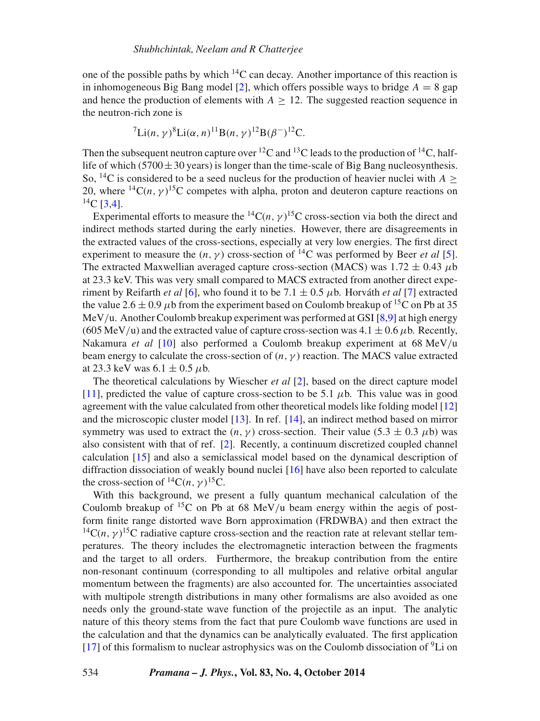one of the possible paths by which  $^{14}$ C can decay. Another importance of this reaction is in inhomogeneous Big Bang model [\[2\]](#page-9-1), which offers possible ways to bridge  $A = 8$  gap and hence the production of elements with  $A > 12$ . The suggested reaction sequence in the neutron-rich zone is

$$
{}^{7}Li(n,\gamma)^{8}Li(\alpha,n)^{11}B(n,\gamma)^{12}B(\beta^{-})^{12}C.
$$

Then the subsequent neutron capture over  ${}^{12}C$  and  ${}^{13}C$  leads to the production of  ${}^{14}C$ , halflife of which (5700 $\pm$ 30 years) is longer than the time-scale of Big Bang nucleosynthesis. So, <sup>14</sup>C is considered to be a seed nucleus for the production of heavier nuclei with  $A >$ 20, where  ${}^{14}C(n, \gamma) {}^{15}C$  competes with alpha, proton and deuteron capture reactions on  $^{14}$ C [\[3](#page-9-2)[,4\]](#page-9-3).

Experimental efforts to measure the  ${}^{14}C(n, \gamma) {}^{15}C$  cross-section via both the direct and indirect methods started during the early nineties. However, there are disagreements in the extracted values of the cross-sections, especially at very low energies. The first direct experiment to measure the  $(n, \gamma)$  cross-section of <sup>14</sup>C was performed by Beer *et al* [\[5\]](#page-9-4). The extracted Maxwellian averaged capture cross-section (MACS) was  $1.72 \pm 0.43 \mu b$ at 23.3 keV. This was very small compared to MACS extracted from another direct experiment by Reifarth *et al* [\[6\]](#page-9-5), who found it to be 7.1  $\pm$  0.5  $\mu$ b. Horváth *et al* [\[7\]](#page-9-6) extracted the value 2.6  $\pm$  0.9  $\mu$ b from the experiment based on Coulomb breakup of <sup>15</sup>C on Pb at 35 MeV*/*u. Another Coulomb breakup experiment was performed at GSI [\[8](#page-9-7)[,9\]](#page-9-8) at high energy (605 MeV/u) and the extracted value of capture cross-section was  $4.1 \pm 0.6 \,\mu$ b. Recently, Nakamura *et al* [\[10\]](#page-10-0) also performed a Coulomb breakup experiment at 68 MeV*/*u beam energy to calculate the cross-section of  $(n, \gamma)$  reaction. The MACS value extracted at 23.3 keV was 6.1 <sup>±</sup> 0.5 *<sup>μ</sup>*b.

The theoretical calculations by Wiescher *et al* [\[2\]](#page-9-1), based on the direct capture model [\[11\]](#page-10-1), predicted the value of capture cross-section to be 5.1 *μ*b. This value was in good agreement with the value calculated from other theoretical models like folding model [\[12\]](#page-10-2) and the microscopic cluster model [\[13\]](#page-10-3). In ref. [\[14\]](#page-10-4), an indirect method based on mirror symmetry was used to extract the  $(n, \gamma)$  cross-section. Their value (5.3  $\pm$  0.3  $\mu$ b) was also consistent with that of ref. [\[2\]](#page-9-1). Recently, a continuum discretized coupled channel calculation [\[15\]](#page-10-5) and also a semiclassical model based on the dynamical description of diffraction dissociation of weakly bound nuclei [\[16\]](#page-10-6) have also been reported to calculate the cross-section of  ${}^{14}C(n, \gamma) {}^{15}C$ .

With this background, we present a fully quantum mechanical calculation of the Coulomb breakup of 15C on Pb at 68 MeV*/*u beam energy within the aegis of postform finite range distorted wave Born approximation (FRDWBA) and then extract the <sup>14</sup>C( $n, \gamma$ )<sup>15</sup>C radiative capture cross-section and the reaction rate at relevant stellar temperatures. The theory includes the electromagnetic interaction between the fragments and the target to all orders. Furthermore, the breakup contribution from the entire non-resonant continuum (corresponding to all multipoles and relative orbital angular momentum between the fragments) are also accounted for. The uncertainties associated with multipole strength distributions in many other formalisms are also avoided as one needs only the ground-state wave function of the projectile as an input. The analytic nature of this theory stems from the fact that pure Coulomb wave functions are used in the calculation and that the dynamics can be analytically evaluated. The first application [\[17\]](#page-10-7) of this formalism to nuclear astrophysics was on the Coulomb dissociation of  ${}^{9}$ Li on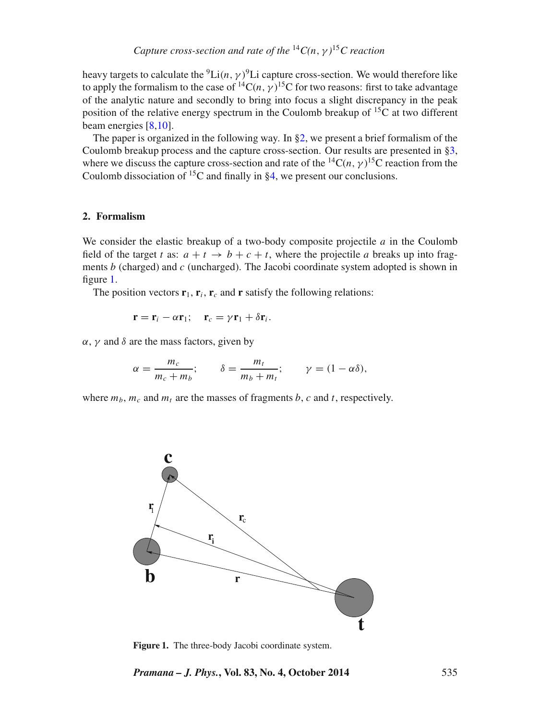heavy targets to calculate the <sup>9</sup>Li(n,  $\gamma$ )<sup>9</sup>Li capture cross-section. We would therefore like to apply the formalism to the case of <sup>14</sup>C( $n, \gamma$ )<sup>15</sup>C for two reasons: first to take advantage of the analytic nature and secondly to bring into focus a slight discrepancy in the peak position of the relative energy spectrum in the Coulomb breakup of  $15C$  at two different beam energies [\[8](#page-9-7)[,10\]](#page-10-0).

The paper is organized in the following way. In  $\S2$ , we present a brief formalism of the Coulomb breakup process and the capture cross-section. Our results are presented in [§3,](#page-4-0) where we discuss the capture cross-section and rate of the <sup>14</sup>C(*n*,  $\gamma$ )<sup>15</sup>C reaction from the Coulomb dissociation of  ${}^{15}C$  and finally in  $84$ , we present our conclusions.

### <span id="page-2-0"></span>**2. Formalism**

We consider the elastic breakup of a two-body composite projectile *a* in the Coulomb field of the target *t* as:  $a + t \rightarrow b + c + t$ , where the projectile *a* breaks up into fragments *b* (charged) and *c* (uncharged). The Jacobi coordinate system adopted is shown in figure [1.](#page-2-1)

The position vectors  $\mathbf{r}_1$ ,  $\mathbf{r}_i$ ,  $\mathbf{r}_c$  and **r** satisfy the following relations:

<span id="page-2-2"></span>
$$
\mathbf{r} = \mathbf{r}_i - \alpha \mathbf{r}_1; \quad \mathbf{r}_c = \gamma \mathbf{r}_1 + \delta \mathbf{r}_i.
$$

 $α$ ,  $γ$  and  $δ$  are the mass factors, given by

$$
\alpha = \frac{m_c}{m_c + m_b}; \qquad \delta = \frac{m_t}{m_b + m_t}; \qquad \gamma = (1 - \alpha \delta),
$$

<span id="page-2-1"></span>where  $m_b$ ,  $m_c$  and  $m_t$  are the masses of fragments *b*, *c* and *t*, respectively.



**Figure 1.** The three-body Jacobi coordinate system.

*Pramana – J. Phys.***, Vol. 83, No. 4, October 2014** 535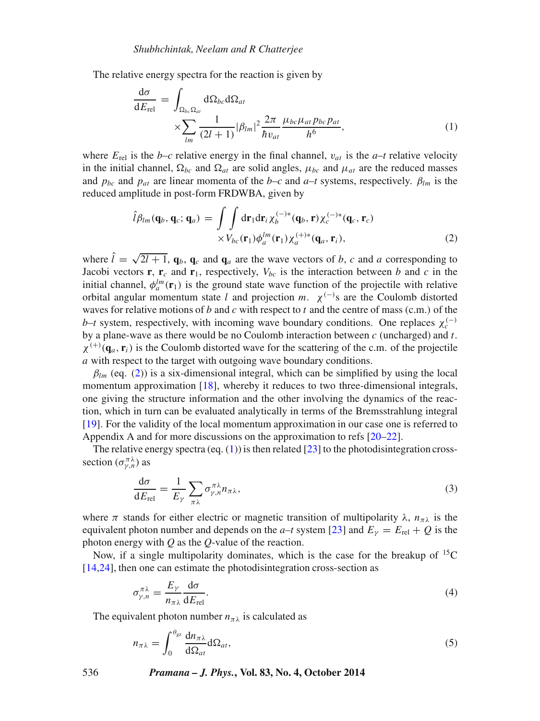The relative energy spectra for the reaction is given by

d*σ*

$$
\frac{d\sigma}{dE_{rel}} = \int_{\Omega_{bc}\Omega_{at}} d\Omega_{bc} d\Omega_{at}
$$
\n
$$
\times \sum_{lm} \frac{1}{(2l+1)} |\beta_{lm}|^2 \frac{2\pi}{\hbar v_{at}} \frac{\mu_{bc}\mu_{at}p_{bc}p_{at}}{h^6},
$$
\n(1)

where  $E_{rel}$  is the *b*–*c* relative energy in the final channel,  $v_{at}$  is the *a*–*t* relative velocity in the initial channel,  $\Omega_{bc}$  and  $\Omega_{at}$  are solid angles,  $\mu_{bc}$  and  $\mu_{at}$  are the reduced masses and  $p_{bc}$  and  $p_{at}$  are linear momenta of the *b*–*c* and *a*–*t* systems, respectively.  $\beta_{lm}$  is the reduced amplitude in post-form FRDWBA, given by

<span id="page-3-0"></span>
$$
\hat{l}\beta_{lm}(\mathbf{q}_b, \mathbf{q}_c; \mathbf{q}_a) = \int \int d\mathbf{r}_1 d\mathbf{r}_i \chi_b^{(-)*}(\mathbf{q}_b, \mathbf{r}) \chi_c^{(-)*}(\mathbf{q}_c, \mathbf{r}_c) \times V_{bc}(\mathbf{r}_1) \phi_a^{lm}(\mathbf{r}_1) \chi_a^{(+)*}(\mathbf{q}_a, \mathbf{r}_i),
$$
\n(2)

where  $\hat{l} = \sqrt{2l+1}$ ,  $\mathbf{q}_b$ ,  $\mathbf{q}_c$  and  $\mathbf{q}_a$  are the wave vectors of *b*, *c* and *a* corresponding to Jacobi vectors **r**, **r**<sub>c</sub> and **r**<sub>1</sub>, respectively,  $V_{bc}$  is the interaction between *b* and *c* in the initial channel,  $\phi_a^{lm}(\mathbf{r}_1)$  is the ground state wave function of the projectile with relative orbital angular momentum state *l* and projection  $m$ .  $\chi^{(-)}$ s are the Coulomb distorted waves for relative motions of *b* and *c* with respect to *t* and the centre of mass (c.m.) of the *b*–*t* system, respectively, with incoming wave boundary conditions. One replaces  $\chi_c^{(-)}$ by a plane-wave as there would be no Coulomb interaction between *c* (uncharged) and *t*.  $\chi^{(+)}({\bf q}_a, {\bf r}_i)$  is the Coulomb distorted wave for the scattering of the c.m. of the projectile *a* with respect to the target with outgoing wave boundary conditions.

 $\beta_{lm}$  (eq. [\(2\)](#page-3-0)) is a six-dimensional integral, which can be simplified by using the local momentum approximation [\[18\]](#page-10-8), whereby it reduces to two three-dimensional integrals, one giving the structure information and the other involving the dynamics of the reaction, which in turn can be evaluated analytically in terms of the Bremsstrahlung integral [\[19\]](#page-10-9). For the validity of the local momentum approximation in our case one is referred to Appendix A and for more discussions on the approximation to refs [\[20](#page-10-10)[–22\]](#page-10-11).

The relative energy spectra (eq.  $(1)$ ) is then related [\[23\]](#page-10-12) to the photodisintegration crosssection  $(\sigma_{\gamma,n}^{\pi\lambda})$  as

$$
\frac{d\sigma}{dE_{\text{rel}}} = \frac{1}{E_{\gamma}} \sum_{\pi\lambda} \sigma_{\gamma,n}^{\pi\lambda} n_{\pi\lambda},\tag{3}
$$

where  $\pi$  stands for either electric or magnetic transition of multipolarity  $\lambda$ ,  $n_{\pi\lambda}$  is the equivalent photon number and depends on the *a–t* system [\[23\]](#page-10-12) and  $E_y = E_{\text{rel}} + Q$  is the photon energy with *Q* as the *Q*-value of the reaction.

Now, if a single multipolarity dominates, which is the case for the breakup of  ${}^{15}C$ [\[14](#page-10-4)[,24\]](#page-10-13), then one can estimate the photodisintegration cross-section as

<span id="page-3-2"></span>
$$
\sigma_{\gamma,n}^{\pi\lambda} = \frac{E_{\gamma}}{n_{\pi\lambda}} \frac{d\sigma}{dE_{\text{rel}}}.
$$
\n(4)

The equivalent photon number  $n_{\pi\lambda}$  is calculated as

<span id="page-3-1"></span>
$$
n_{\pi\lambda} = \int_0^{\theta_{\text{gz}}} \frac{d n_{\pi\lambda}}{d \Omega_{at}} d \Omega_{at}, \tag{5}
$$

536 *Pramana – J. Phys.***, Vol. 83, No. 4, October 2014**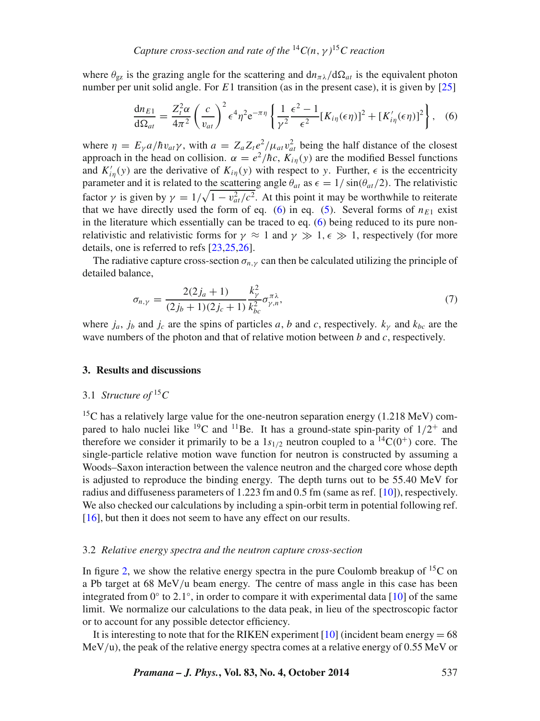where  $\theta_{\varphi z}$  is the grazing angle for the scattering and  $d n_{\pi\lambda}/d\Omega_{at}$  is the equivalent photon number per unit solid angle. For *E*1 transition (as in the present case), it is given by [\[25\]](#page-10-14)

<span id="page-4-1"></span>
$$
\frac{dn_{E1}}{d\Omega_{at}} = \frac{Z_t^2 \alpha}{4\pi^2} \left(\frac{c}{v_{at}}\right)^2 \epsilon^4 \eta^2 e^{-\pi \eta} \left\{ \frac{1}{\gamma^2} \frac{\epsilon^2 - 1}{\epsilon^2} [K_{i\eta}(\epsilon \eta)]^2 + [K'_{i\eta}(\epsilon \eta)]^2 \right\},
$$
 (6)

where  $\eta = E_{\gamma} a / \hbar v_{at} \gamma$ , with  $a = Z_a Z_t e^2 / \mu_{at} v_{at}^2$  being the half distance of the closest approach in the head on collision.  $\alpha = e^2/\hbar c$ ,  $K_{i\eta}(y)$  are the modified Bessel functions and  $K'_{in}(y)$  are the derivative of  $K_{in}(y)$  with respect to *y*. Further,  $\epsilon$  is the eccentricity parameter and it is related to the scattering angle  $\theta_{at}$  as  $\epsilon = 1/\sin(\theta_{at}/2)$ . The relativistic factor *γ* is given by  $\gamma = 1/\sqrt{1 - v_{at}^2/c^2}$ . At this point it may be worthwhile to reiterate that we have directly used the form of eq. [\(6\)](#page-4-1) in eq. [\(5\)](#page-3-1). Several forms of  $n_{E1}$  exist in the literature which essentially can be traced to eq. [\(6\)](#page-4-1) being reduced to its pure nonrelativistic and relativistic forms for  $\gamma \approx 1$  and  $\gamma \gg 1$ ,  $\epsilon \gg 1$ , respectively (for more details, one is referred to refs [\[23,](#page-10-12)[25,](#page-10-14)[26\]](#page-10-15).

The radiative capture cross-section  $\sigma_{n,v}$  can then be calculated utilizing the principle of detailed balance,

$$
\sigma_{n,\gamma} = \frac{2(2j_a + 1)}{(2j_b + 1)(2j_c + 1)} \frac{k_{\gamma}^2}{k_{bc}^2} \sigma_{\gamma,n}^{\pi\lambda},\tag{7}
$$

where  $j_a$ ,  $j_b$  and  $j_c$  are the spins of particles *a*, *b* and *c*, respectively.  $k_{\gamma}$  and  $k_{bc}$  are the wave numbers of the photon and that of relative motion between *b* and *c*, respectively.

### <span id="page-4-0"></span>**3. Results and discussions**

# 3.1 *Structure of* <sup>15</sup>*C*

<sup>15</sup>C has a relatively large value for the one-neutron separation energy  $(1.218 \text{ MeV})$  compared to halo nuclei like <sup>19</sup>C and <sup>11</sup>Be. It has a ground-state spin-parity of  $1/2^+$  and therefore we consider it primarily to be a  $1s_{1/2}$  neutron coupled to a <sup>14</sup>C(0<sup>+</sup>) core. The single-particle relative motion wave function for neutron is constructed by assuming a Woods–Saxon interaction between the valence neutron and the charged core whose depth is adjusted to reproduce the binding energy. The depth turns out to be 55.40 MeV for radius and diffuseness parameters of 1.223 fm and 0.5 fm (same as ref. [\[10\]](#page-10-0)), respectively. We also checked our calculations by including a spin-orbit term in potential following ref. [\[16\]](#page-10-6), but then it does not seem to have any effect on our results.

#### 3.2 *Relative energy spectra and the neutron capture cross-section*

In figure [2,](#page-5-0) we show the relative energy spectra in the pure Coulomb breakup of  ${}^{15}C$  on a Pb target at 68 MeV*/*u beam energy. The centre of mass angle in this case has been integrated from  $0°$  to  $2.1°$ , in order to compare it with experimental data [\[10\]](#page-10-0) of the same limit. We normalize our calculations to the data peak, in lieu of the spectroscopic factor or to account for any possible detector efficiency.

It is interesting to note that for the RIKEN experiment  $[10]$  (incident beam energy = 68 MeV*/*u), the peak of the relative energy spectra comes at a relative energy of 0.55 MeV or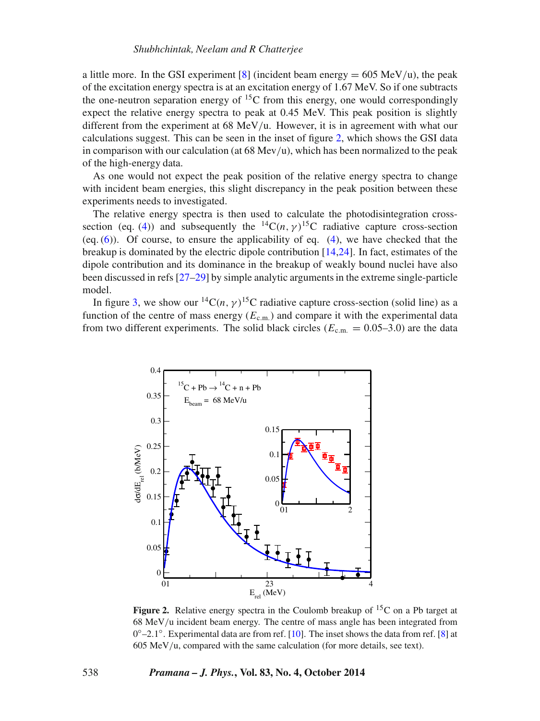a little more. In the GSI experiment  $[8]$  (incident beam energy  $= 605 \text{ MeV/u}$ ), the peak of the excitation energy spectra is at an excitation energy of 1.67 MeV. So if one subtracts the one-neutron separation energy of  ${}^{15}C$  from this energy, one would correspondingly expect the relative energy spectra to peak at 0.45 MeV. This peak position is slightly different from the experiment at 68 MeV*/*u. However, it is in agreement with what our calculations suggest. This can be seen in the inset of figure [2,](#page-5-0) which shows the GSI data in comparison with our calculation (at 68 Mev*/*u), which has been normalized to the peak of the high-energy data.

As one would not expect the peak position of the relative energy spectra to change with incident beam energies, this slight discrepancy in the peak position between these experiments needs to investigated.

The relative energy spectra is then used to calculate the photodisintegration cross-section (eq. [\(4\)](#page-3-2)) and subsequently the  ${}^{14}C(n, \gamma) {}^{15}C$  radiative capture cross-section (eq.  $(6)$ ). Of course, to ensure the applicability of eq.  $(4)$ , we have checked that the breakup is dominated by the electric dipole contribution [\[14,](#page-10-4)[24\]](#page-10-13). In fact, estimates of the dipole contribution and its dominance in the breakup of weakly bound nuclei have also been discussed in refs [\[27](#page-10-16)[–29\]](#page-10-17) by simple analytic arguments in the extreme single-particle model.

In figure [3,](#page-6-0) we show our <sup>14</sup>C(*n*,  $\gamma$ )<sup>15</sup>C radiative capture cross-section (solid line) as a function of the centre of mass energy  $(E_{c.m.})$  and compare it with the experimental data from two different experiments. The solid black circles ( $E_{c.m.} = 0.05-3.0$ ) are the data

<span id="page-5-0"></span>

**Figure 2.** Relative energy spectra in the Coulomb breakup of  ${}^{15}C$  on a Pb target at 68 MeV*/*u incident beam energy. The centre of mass angle has been integrated from 0◦–2*.*1◦. Experimental data are from ref. [\[10\]](#page-10-0). The inset shows the data from ref. [\[8\]](#page-9-7) at 605 MeV*/*u, compared with the same calculation (for more details, see text).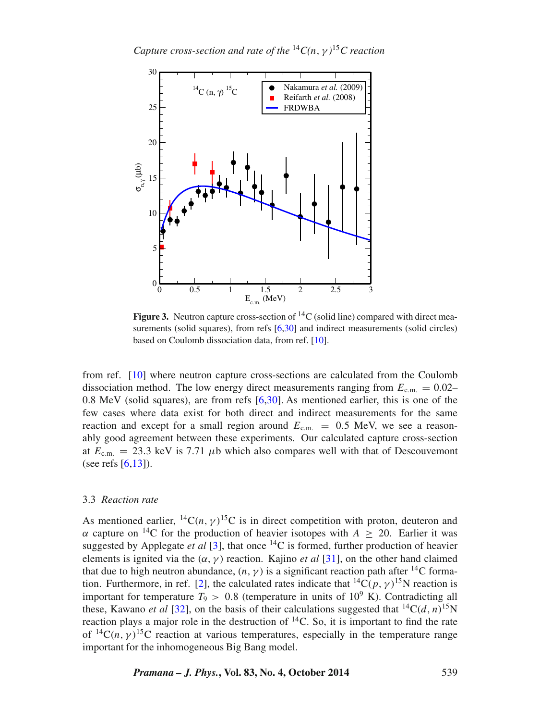<span id="page-6-0"></span>

**Figure 3.** Neutron capture cross-section of  ${}^{14}C$  (solid line) compared with direct mea-surements (solid squares), from refs [\[6](#page-9-5)[,30\]](#page-10-18) and indirect measurements (solid circles) based on Coulomb dissociation data, from ref. [\[10\]](#page-10-0).

from ref. [\[10\]](#page-10-0) where neutron capture cross-sections are calculated from the Coulomb dissociation method. The low energy direct measurements ranging from  $E_{c.m.} = 0.02-$ 0.8 MeV (solid squares), are from refs [\[6,](#page-9-5)[30\]](#page-10-18). As mentioned earlier, this is one of the few cases where data exist for both direct and indirect measurements for the same reaction and except for a small region around  $E_{\text{c.m.}} = 0.5$  MeV, we see a reasonably good agreement between these experiments. Our calculated capture cross-section at  $E_{\text{c.m.}} = 23.3 \text{ keV}$  is 7.71  $\mu$ b which also compares well with that of Descouvemont (see refs  $[6,13]$  $[6,13]$ ).

## 3.3 *Reaction rate*

As mentioned earlier,  ${}^{14}C(n, \gamma) {}^{15}C$  is in direct competition with proton, deuteron and *α* capture on <sup>14</sup>C for the production of heavier isotopes with  $A > 20$ . Earlier it was suggested by Applegate *et al* [\[3\]](#page-9-2), that once  $^{14}$ C is formed, further production of heavier elements is ignited via the  $(\alpha, \gamma)$  reaction. Kajino *et al* [\[31\]](#page-10-19), on the other hand claimed that due to high neutron abundance,  $(n, \gamma)$  is a significant reaction path after <sup>14</sup>C forma-tion. Furthermore, in ref. [\[2\]](#page-9-1), the calculated rates indicate that <sup>14</sup>C( $p, \gamma$ <sup>15</sup>N reaction is important for temperature  $T_9 > 0.8$  (temperature in units of  $10^9$  K). Contradicting all these, Kawano *et al* [\[32\]](#page-10-20), on the basis of their calculations suggested that  ${}^{14}C(d, n){}^{15}N$ reaction plays a major role in the destruction of  $^{14}$ C. So, it is important to find the rate of  ${}^{14}C(n, \gamma) {}^{15}C$  reaction at various temperatures, especially in the temperature range important for the inhomogeneous Big Bang model.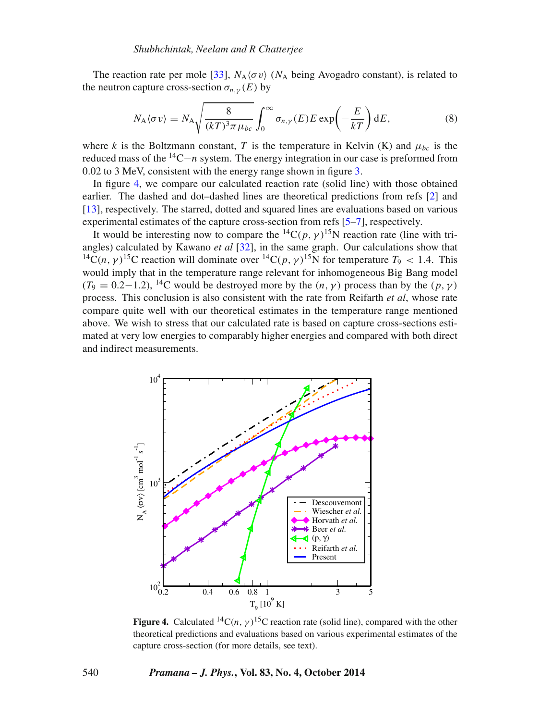The reaction rate per mole [\[33\]](#page-10-21),  $N_A \langle \sigma v \rangle$  ( $N_A$  being Avogadro constant), is related to the neutron capture cross-section  $\sigma_{n,\nu}(E)$  by

$$
N_{A}\langle\sigma v\rangle = N_{A}\sqrt{\frac{8}{(kT)^{3}\pi\,\mu_{bc}}} \int_{0}^{\infty} \sigma_{n,\gamma}(E)E\exp\left(-\frac{E}{kT}\right) dE, \tag{8}
$$

where *k* is the Boltzmann constant, *T* is the temperature in Kelvin (K) and  $\mu_{bc}$  is the reduced mass of the 14C−*<sup>n</sup>* system. The energy integration in our case is preformed from 0.02 to 3 MeV, consistent with the energy range shown in figure [3.](#page-6-0)

In figure [4,](#page-7-0) we compare our calculated reaction rate (solid line) with those obtained earlier. The dashed and dot–dashed lines are theoretical predictions from refs [\[2\]](#page-9-1) and [\[13\]](#page-10-3), respectively. The starred, dotted and squared lines are evaluations based on various experimental estimates of the capture cross-section from refs [\[5](#page-9-4)[–7\]](#page-9-6), respectively.

It would be interesting now to compare the <sup>14</sup>C( $p, \gamma$ )<sup>15</sup>N reaction rate (line with triangles) calculated by Kawano *et al* [\[32\]](#page-10-20), in the same graph. Our calculations show that <sup>14</sup>C(n,  $\gamma$ )<sup>15</sup>C reaction will dominate over <sup>14</sup>C(p,  $\gamma$ )<sup>15</sup>N for temperature  $T_9 < 1.4$ . This would imply that in the temperature range relevant for inhomogeneous Big Bang model  $(T_9 = 0.2 - 1.2)$ , <sup>14</sup>C would be destroyed more by the  $(n, \gamma)$  process than by the  $(p, \gamma)$ process. This conclusion is also consistent with the rate from Reifarth *et al*, whose rate compare quite well with our theoretical estimates in the temperature range mentioned above. We wish to stress that our calculated rate is based on capture cross-sections estimated at very low energies to comparably higher energies and compared with both direct and indirect measurements.

<span id="page-7-0"></span>

**Figure 4.** Calculated <sup>14</sup>C(*n*,  $\gamma$ )<sup>15</sup>C reaction rate (solid line), compared with the other theoretical predictions and evaluations based on various experimental estimates of the capture cross-section (for more details, see text).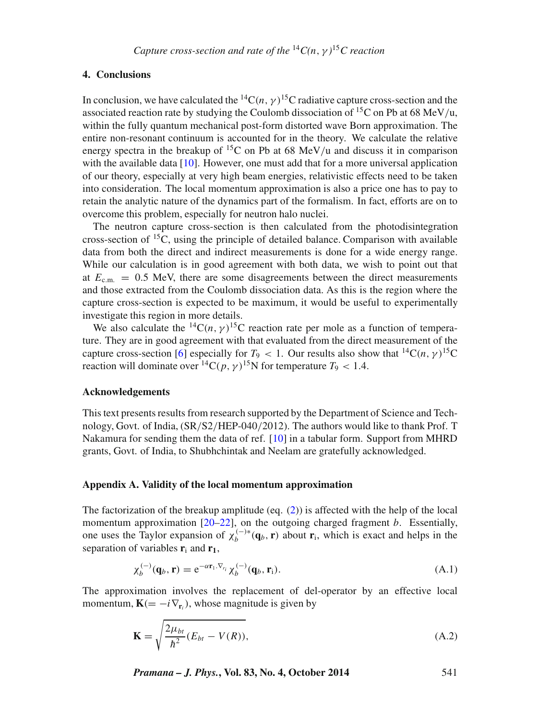# <span id="page-8-0"></span>**4. Conclusions**

In conclusion, we have calculated the <sup>14</sup>C $(n, \gamma)$ <sup>15</sup>C radiative capture cross-section and the associated reaction rate by studying the Coulomb dissociation of 15C on Pb at 68 MeV*/*u, within the fully quantum mechanical post-form distorted wave Born approximation. The entire non-resonant continuum is accounted for in the theory. We calculate the relative energy spectra in the breakup of <sup>15</sup>C on Pb at 68 MeV/u and discuss it in comparison with the available data  $[10]$ . However, one must add that for a more universal application of our theory, especially at very high beam energies, relativistic effects need to be taken into consideration. The local momentum approximation is also a price one has to pay to retain the analytic nature of the dynamics part of the formalism. In fact, efforts are on to overcome this problem, especially for neutron halo nuclei.

The neutron capture cross-section is then calculated from the photodisintegration cross-section of  ${}^{15}C$ , using the principle of detailed balance. Comparison with available data from both the direct and indirect measurements is done for a wide energy range. While our calculation is in good agreement with both data, we wish to point out that at  $E_{cm} = 0.5$  MeV, there are some disagreements between the direct measurements and those extracted from the Coulomb dissociation data. As this is the region where the capture cross-section is expected to be maximum, it would be useful to experimentally investigate this region in more details.

We also calculate the <sup>14</sup>C(n,  $\gamma$ )<sup>15</sup>C reaction rate per mole as a function of temperature. They are in good agreement with that evaluated from the direct measurement of the capture cross-section [\[6\]](#page-9-5) especially for  $T_9 < 1$ . Our results also show that <sup>14</sup>C(n,  $\gamma$ )<sup>15</sup>C reaction will dominate over <sup>14</sup>C(p,  $\gamma$ )<sup>15</sup>N for temperature  $T_9$  < 1.4.

### **Acknowledgements**

This text presents results from research supported by the Department of Science and Technology, Govt. of India, (SR*/*S2*/*HEP-040*/*2012). The authors would like to thank Prof. T Nakamura for sending them the data of ref. [\[10\]](#page-10-0) in a tabular form. Support from MHRD grants, Govt. of India, to Shubhchintak and Neelam are gratefully acknowledged.

#### **Appendix A. Validity of the local momentum approximation**

The factorization of the breakup amplitude (eq.  $(2)$ ) is affected with the help of the local momentum approximation [\[20–](#page-10-10)[22\]](#page-10-11), on the outgoing charged fragment *b*. Essentially, one uses the Taylor expansion of  $\chi_b^{(-)*}(\mathbf{q}_b, \mathbf{r})$  about  $\mathbf{r}_i$ , which is exact and helps in the separation of variables  $\mathbf{r}_i$  and  $\mathbf{r}_1$ ,

$$
\chi_b^{(-)}(\mathbf{q}_b, \mathbf{r}) = e^{-\alpha \mathbf{r}_1 \cdot \nabla_{r_i}} \chi_b^{(-)}(\mathbf{q}_b, \mathbf{r}_i). \tag{A.1}
$$

The approximation involves the replacement of del-operator by an effective local momentum,  $\mathbf{K} (= -i\nabla_{\mathbf{r}_i}$ , whose magnitude is given by

$$
\mathbf{K} = \sqrt{\frac{2\mu_{bt}}{\hbar^2}(E_{bt} - V(R))},\tag{A.2}
$$

*Pramana – J. Phys.***, Vol. 83, No. 4, October 2014** 541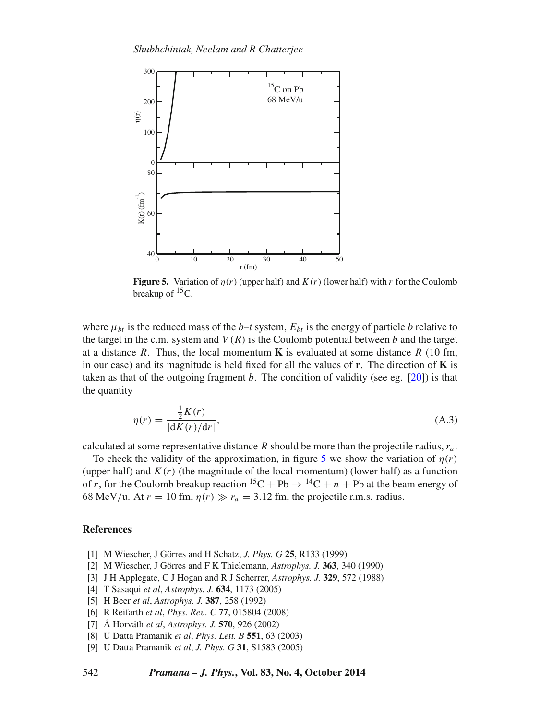<span id="page-9-9"></span>

**Figure 5.** Variation of  $\eta(r)$  (upper half) and  $K(r)$  (lower half) with r for the Coulomb breakup of  ${}^{15}C$ .

where  $\mu_{bt}$  is the reduced mass of the *b*–*t* system,  $E_{bt}$  is the energy of particle *b* relative to the target in the c.m. system and  $V(R)$  is the Coulomb potential between *b* and the target at a distance *R*. Thus, the local momentum **K** is evaluated at some distance *R* (10 fm, in our case) and its magnitude is held fixed for all the values of **r**. The direction of **K** is taken as that of the outgoing fragment  $b$ . The condition of validity (see eg.  $[20]$ ) is that the quantity

$$
\eta(r) = \frac{\frac{1}{2}K(r)}{|\mathrm{d}K(r)/\mathrm{d}r|},\tag{A.3}
$$

calculated at some representative distance *R* should be more than the projectile radius, *ra* .

To check the validity of the approximation, in figure [5](#page-9-9) we show the variation of  $\eta(r)$ (upper half) and  $K(r)$  (the magnitude of the local momentum) (lower half) as a function of *r*, for the Coulomb breakup reaction  ${}^{15}C + Pb \rightarrow {}^{14}C + n + Pb$  at the beam energy of 68 MeV/u. At  $r = 10$  fm,  $\eta(r) \gg r_a = 3.12$  fm, the projectile r.m.s. radius.

## **References**

- <span id="page-9-0"></span>[1] M Wiescher, J Görres and H Schatz, *J. Phys. G* **25**, R133 (1999)
- <span id="page-9-1"></span>[2] M Wiescher, J Görres and F K Thielemann, *Astrophys. J.* **363**, 340 (1990)
- <span id="page-9-2"></span>[3] J H Applegate, C J Hogan and R J Scherrer, *Astrophys. J.* **329**, 572 (1988)
- <span id="page-9-3"></span>[4] T Sasaqui *et al*, *Astrophys. J.* **634**, 1173 (2005)
- <span id="page-9-4"></span>[5] H Beer *et al*, *Astrophys. J.* **387**, 258 (1992)
- <span id="page-9-5"></span>[6] R Reifarth *et al*, *Phys. Rev. C* **77**, 015804 (2008)
- <span id="page-9-6"></span>[7] Á Horváth *et al*, *Astrophys. J.* **570**, 926 (2002)
- <span id="page-9-7"></span>[8] U Datta Pramanik *et al*, *Phys. Lett. B* **551**, 63 (2003)
- <span id="page-9-8"></span>[9] U Datta Pramanik *et al*, *J. Phys. G* **31**, S1583 (2005)